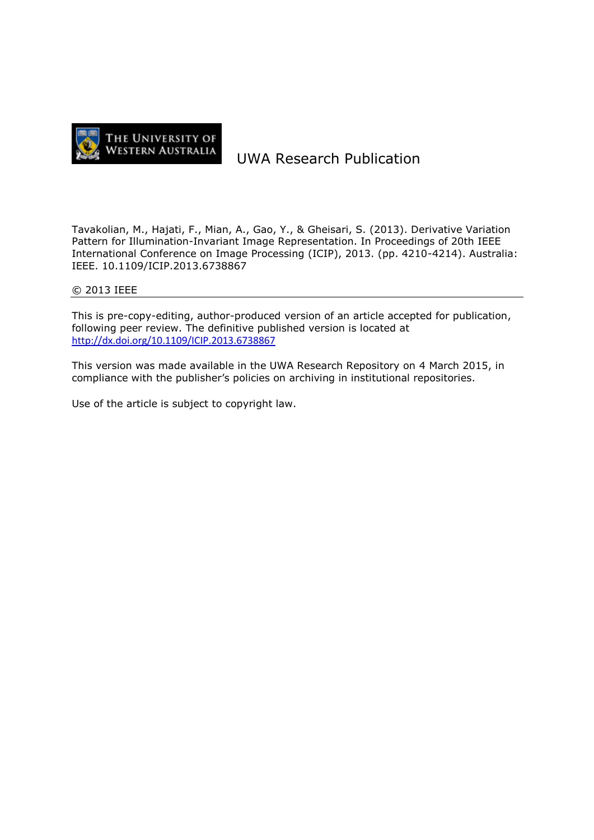

# UWA Research Publication

Tavakolian, M., Hajati, F., Mian, A., Gao, Y., & Gheisari, S. (2013). Derivative Variation Pattern for Illumination-Invariant Image Representation. In Proceedings of 20th IEEE International Conference on Image Processing (ICIP), 2013. (pp. 4210-4214). Australia: IEEE. 10.1109/ICIP.2013.6738867

# © 2013 IEEE

This is pre-copy-editing, author-produced version of an article accepted for publication, following peer review. The definitive published version is located at <http://dx.doi.org/10.1109/ICIP.2013.6738867>

This version was made available in the UWA Research Repository on 4 March 2015, in compliance with the publisher's policies on archiving in institutional repositories.

Use of the article is subject to copyright law.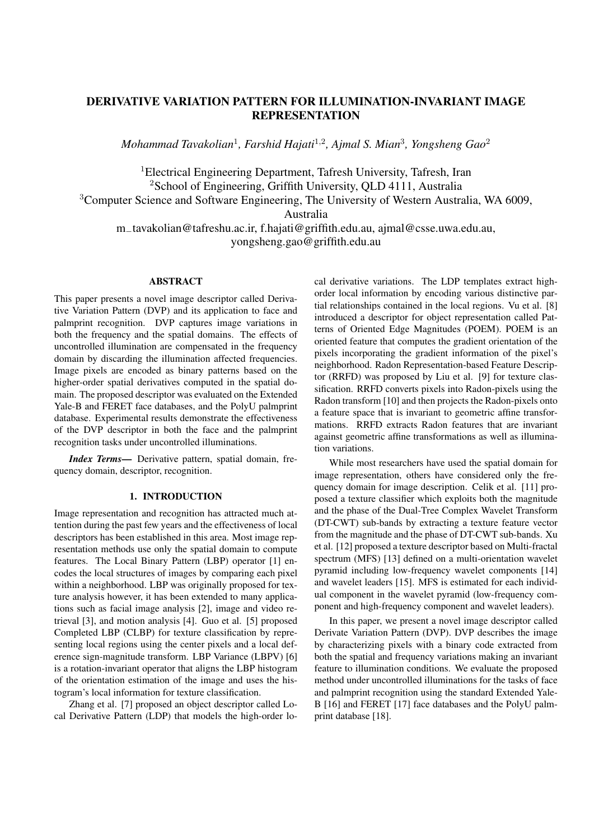# DERIVATIVE VARIATION PATTERN FOR ILLUMINATION-INVARIANT IMAGE **REPRESENTATION**

*Mohammad Tavakolian*<sup>1</sup> *, Farshid Hajati*<sup>1</sup>*,*<sup>2</sup> *, Ajmal S. Mian*<sup>3</sup> *, Yongsheng Gao*<sup>2</sup>

<sup>1</sup>Electrical Engineering Department, Tafresh University, Tafresh, Iran <sup>2</sup>School of Engineering, Griffith University, QLD 4111, Australia <sup>3</sup>Computer Science and Software Engineering, The University of Western Australia, WA 6009, Australia m*−*tavakolian@tafreshu.ac.ir, f.hajati@griffith.edu.au, ajmal@csse.uwa.edu.au, yongsheng.gao@griffith.edu.au

## ABSTRACT

This paper presents a novel image descriptor called Derivative Variation Pattern (DVP) and its application to face and palmprint recognition. DVP captures image variations in both the frequency and the spatial domains. The effects of uncontrolled illumination are compensated in the frequency domain by discarding the illumination affected frequencies. Image pixels are encoded as binary patterns based on the higher-order spatial derivatives computed in the spatial domain. The proposed descriptor was evaluated on the Extended Yale-B and FERET face databases, and the PolyU palmprint database. Experimental results demonstrate the effectiveness of the DVP descriptor in both the face and the palmprint recognition tasks under uncontrolled illuminations.

*Index Terms*— Derivative pattern, spatial domain, frequency domain, descriptor, recognition.

## 1. INTRODUCTION

Image representation and recognition has attracted much attention during the past few years and the effectiveness of local descriptors has been established in this area. Most image representation methods use only the spatial domain to compute features. The Local Binary Pattern (LBP) operator [1] encodes the local structures of images by comparing each pixel within a neighborhood. LBP was originally proposed for texture analysis however, it has been extended to many applications such as facial image analysis [2], image and video retrieval [3], and motion analysis [4]. Guo et al. [5] proposed Completed LBP (CLBP) for texture classification by representing local regions using the center pixels and a local deference sign-magnitude transform. LBP Variance (LBPV) [6] is a rotation-invariant operator that aligns the LBP histogram of the orientation estimation of the image and uses the histogram's local information for texture classification.

Zhang et al. [7] proposed an object descriptor called Local Derivative Pattern (LDP) that models the high-order local derivative variations. The LDP templates extract highorder local information by encoding various distinctive partial relationships contained in the local regions. Vu et al. [8] introduced a descriptor for object representation called Patterns of Oriented Edge Magnitudes (POEM). POEM is an oriented feature that computes the gradient orientation of the pixels incorporating the gradient information of the pixel's neighborhood. Radon Representation-based Feature Descriptor (RRFD) was proposed by Liu et al. [9] for texture classification. RRFD converts pixels into Radon-pixels using the Radon transform [10] and then projects the Radon-pixels onto a feature space that is invariant to geometric affine transformations. RRFD extracts Radon features that are invariant against geometric affine transformations as well as illumination variations.

While most researchers have used the spatial domain for image representation, others have considered only the frequency domain for image description. Celik et al. [11] proposed a texture classifier which exploits both the magnitude and the phase of the Dual-Tree Complex Wavelet Transform (DT-CWT) sub-bands by extracting a texture feature vector from the magnitude and the phase of DT-CWT sub-bands. Xu et al. [12] proposed a texture descriptor based on Multi-fractal spectrum (MFS) [13] defined on a multi-orientation wavelet pyramid including low-frequency wavelet components [14] and wavelet leaders [15]. MFS is estimated for each individual component in the wavelet pyramid (low-frequency component and high-frequency component and wavelet leaders).

In this paper, we present a novel image descriptor called Derivate Variation Pattern (DVP). DVP describes the image by characterizing pixels with a binary code extracted from both the spatial and frequency variations making an invariant feature to illumination conditions. We evaluate the proposed method under uncontrolled illuminations for the tasks of face and palmprint recognition using the standard Extended Yale-B [16] and FERET [17] face databases and the PolyU palmprint database [18].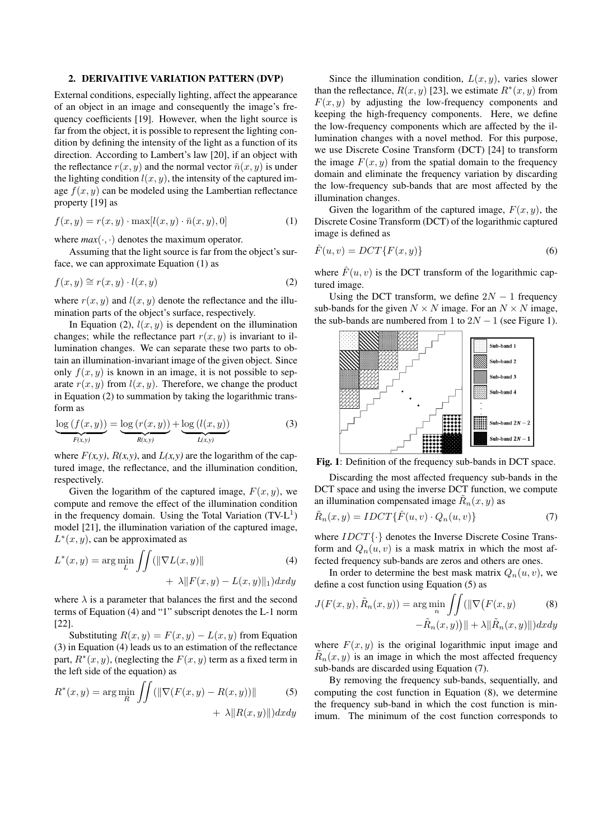#### 2. DERIVAITIVE VARIATION PATTERN (DVP)

External conditions, especially lighting, affect the appearance of an object in an image and consequently the image's frequency coefficients [19]. However, when the light source is far from the object, it is possible to represent the lighting condition by defining the intensity of the light as a function of its direction. According to Lambert's law [20], if an object with the reflectance  $r(x, y)$  and the normal vector  $\bar{n}(x, y)$  is under the lighting condition  $l(x, y)$ , the intensity of the captured image  $f(x, y)$  can be modeled using the Lambertian reflectance property [19] as

$$
f(x,y) = r(x,y) \cdot \max[l(x,y) \cdot \bar{n}(x,y),0]
$$
 (1)

where  $max(\cdot, \cdot)$  denotes the maximum operator.

Assuming that the light source is far from the object's surface, we can approximate Equation (1) as

$$
f(x,y) \cong r(x,y) \cdot l(x,y) \tag{2}
$$

where  $r(x, y)$  and  $l(x, y)$  denote the reflectance and the illumination parts of the object's surface, respectively.

In Equation (2),  $l(x, y)$  is dependent on the illumination changes; while the reflectance part  $r(x, y)$  is invariant to illumination changes. We can separate these two parts to obtain an illumination-invariant image of the given object. Since only  $f(x, y)$  is known in an image, it is not possible to separate  $r(x, y)$  from  $l(x, y)$ . Therefore, we change the product in Equation (2) to summation by taking the logarithmic transform as

$$
\underbrace{\log\left(f(x,y)\right)}_{F(x,y)} = \underbrace{\log\left(r(x,y)\right)}_{R(x,y)} + \underbrace{\log\left(l(x,y)\right)}_{L(x,y)}
$$
(3)

where  $F(x, y)$ ,  $R(x, y)$ , and  $L(x, y)$  are the logarithm of the captured image, the reflectance, and the illumination condition, respectively.

Given the logarithm of the captured image,  $F(x, y)$ , we compute and remove the effect of the illumination condition in the frequency domain. Using the Total Variation  $(TV - L<sup>1</sup>)$ model [21], the illumination variation of the captured image, *L ∗* (*x, y*), can be approximated as

$$
L^*(x, y) = \arg\min_{L} \iint (||\nabla L(x, y)|| + \lambda ||F(x, y) - L(x, y)||_1) dxdy
$$
\n(4)

where  $\lambda$  is a parameter that balances the first and the second terms of Equation (4) and "1" subscript denotes the L-1 norm [22].

Substituting  $R(x, y) = F(x, y) - L(x, y)$  from Equation (3) in Equation (4) leads us to an estimation of the reflectance part,  $R^*(x, y)$ , (neglecting the  $F(x, y)$  term as a fixed term in the left side of the equation) as

$$
R^*(x, y) = \arg\min_R \iint (\|\nabla (F(x, y) - R(x, y))\| + \lambda \|R(x, y)\|) dxdy
$$

Since the illumination condition,  $L(x, y)$ , varies slower than the reflectance,  $R(x, y)$  [23], we estimate  $R^*(x, y)$  from  $F(x, y)$  by adjusting the low-frequency components and keeping the high-frequency components. Here, we define the low-frequency components which are affected by the illumination changes with a novel method. For this purpose, we use Discrete Cosine Transform (DCT) [24] to transform the image  $F(x, y)$  from the spatial domain to the frequency domain and eliminate the frequency variation by discarding the low-frequency sub-bands that are most affected by the illumination changes.

Given the logarithm of the captured image,  $F(x, y)$ , the Discrete Cosine Transform (DCT) of the logarithmic captured image is defined as

$$
\hat{F}(u,v) = DCT\{F(x,y)\}\tag{6}
$$

where  $\hat{F}(u, v)$  is the DCT transform of the logarithmic captured image.

Using the DCT transform, we define  $2N - 1$  frequency sub-bands for the given  $N \times N$  image. For an  $N \times N$  image, the sub-bands are numbered from 1 to  $2N - 1$  (see Figure 1).



Fig. 1: Definition of the frequency sub-bands in DCT space.

Discarding the most affected frequency sub-bands in the DCT space and using the inverse DCT function, we compute an illumination compensated image  $\tilde{R}_n(x, y)$  as

$$
\tilde{R}_n(x,y) = IDCT\{\hat{F}(u,v) \cdot Q_n(u,v)\}\tag{7}
$$

where *IDCT{·}* denotes the Inverse Discrete Cosine Transform and  $Q_n(u, v)$  is a mask matrix in which the most affected frequency sub-bands are zeros and others are ones.

In order to determine the best mask matrix  $Q_n(u, v)$ , we define a cost function using Equation (5) as

$$
J(F(x, y), \tilde{R}_n(x, y)) = \arg\min_n \iint (||\nabla (F(x, y))|| + \lambda ||\tilde{R}_n(x, y)||) dxdy
$$
\n
$$
-\tilde{R}_n(x, y)|| + \lambda ||\tilde{R}_n(x, y)||) dxdy
$$

where  $F(x, y)$  is the original logarithmic input image and  $\tilde{R}_n(x, y)$  is an image in which the most affected frequency sub-bands are discarded using Equation (7).

By removing the frequency sub-bands, sequentially, and computing the cost function in Equation (8), we determine the frequency sub-band in which the cost function is minimum. The minimum of the cost function corresponds to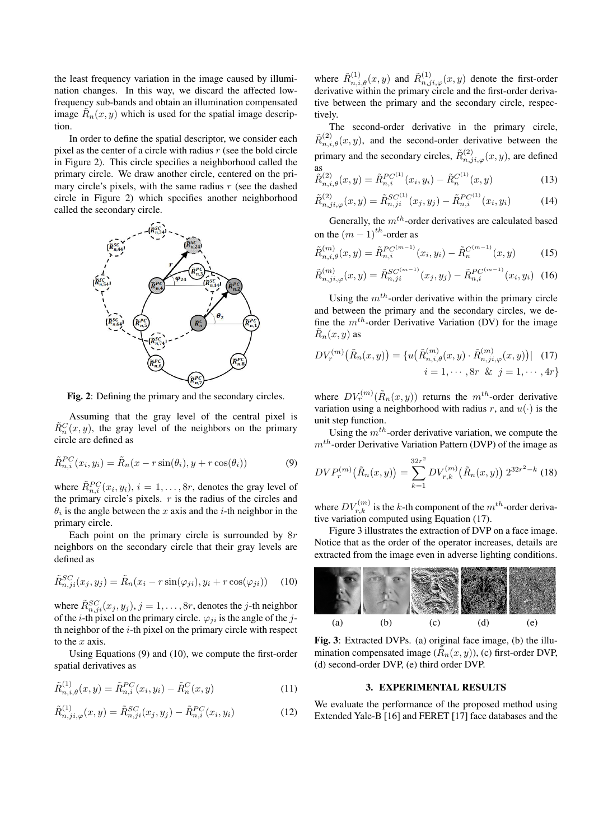the least frequency variation in the image caused by illumination changes. In this way, we discard the affected lowfrequency sub-bands and obtain an illumination compensated image  $\tilde{R}_n(x, y)$  which is used for the spatial image description.

In order to define the spatial descriptor, we consider each pixel as the center of a circle with radius *r* (see the bold circle in Figure 2). This circle specifies a neighborhood called the primary circle. We draw another circle, centered on the primary circle's pixels, with the same radius *r* (see the dashed circle in Figure 2) which specifies another neighborhood called the secondary circle.



Fig. 2: Defining the primary and the secondary circles.

Assuming that the gray level of the central pixel is  $\tilde{R}_n^C(x, y)$ , the gray level of the neighbors on the primary circle are defined as

$$
\tilde{R}_{n,i}^{PC}(x_i, y_i) = \tilde{R}_n(x - r\sin(\theta_i), y + r\cos(\theta_i))
$$
\n(9)

where  $\tilde{R}_{n,i}^{PC}(x_i, y_i)$ ,  $i = 1, \ldots, 8r$ , denotes the gray level of the primary circle's pixels.  $r$  is the radius of the circles and  $\theta_i$  is the angle between the *x* axis and the *i*-th neighbor in the primary circle.

Each point on the primary circle is surrounded by 8*r* neighbors on the secondary circle that their gray levels are defined as

$$
\tilde{R}_{n,ji}^{SC}(x_j, y_j) = \tilde{R}_n(x_i - r\sin(\varphi_{ji}), y_i + r\cos(\varphi_{ji})) \quad (10)
$$

where  $\tilde{R}_{n,ji}^{SC}(x_j, y_j), j = 1, \ldots, 8r$ , denotes the *j*-th neighbor of the *i*-th pixel on the primary circle.  $\varphi_{ii}$  is the angle of the *j*th neighbor of the *i*-th pixel on the primary circle with respect to the *x* axis.

Using Equations (9) and (10), we compute the first-order spatial derivatives as

$$
\tilde{R}_{n,i,\theta}^{(1)}(x,y) = \tilde{R}_{n,i}^{PC}(x_i, y_i) - \tilde{R}_n^{C}(x,y)
$$
\n(11)

$$
\tilde{R}_{n,ji,\varphi}^{(1)}(x,y) = \tilde{R}_{n,ji}^{SC}(x_j, y_j) - \tilde{R}_{n,i}^{PC}(x_i, y_i)
$$
\n(12)

where  $\tilde{R}_{n,i,\theta}^{(1)}(x,y)$  and  $\tilde{R}_{n,j,i,\varphi}^{(1)}(x,y)$  denote the first-order derivative within the primary circle and the first-order derivative between the primary and the secondary circle, respectively.

The second-order derivative in the primary circle,  $\tilde{R}^{(2)}_{n,i,\theta}(x,y)$ , and the second-order derivative between the primary and the secondary circles,  $\tilde{R}_{n,j,i,\varphi}^{(2)}(x,y)$ , are defined as (1)

$$
\tilde{R}_{n,i,\theta}^{(2)}(x,y) = \tilde{R}_{n,i}^{PC^{(1)}}(x_i, y_i) - \tilde{R}_n^{C^{(1)}}(x,y)
$$
\n(13)

$$
\tilde{R}_{n,ji,\varphi}^{(2)}(x,y) = \tilde{R}_{n,ji}^{SC^{(1)}}(x_j, y_j) - \tilde{R}_{n,i}^{PC^{(1)}}(x_i, y_i)
$$
(14)

Generally, the *mth*-order derivatives are calculated based on the  $(m-1)$ <sup>th</sup>-order as

$$
\tilde{R}_{n,i,\theta}^{(m)}(x,y) = \tilde{R}_{n,i}^{PC^{(m-1)}}(x_i, y_i) - \tilde{R}_n^{C^{(m-1)}}(x,y)
$$
\n(15)

$$
\tilde{R}_{n,ji,\varphi}^{(m)}(x,y) = \tilde{R}_{n,ji}^{SC^{(m-1)}}(x_j, y_j) - \tilde{R}_{n,i}^{PC^{(m-1)}}(x_i, y_i) \tag{16}
$$

Using the *mth*-order derivative within the primary circle and between the primary and the secondary circles, we define the  $m^{th}$ -order Derivative Variation (DV) for the image  $\tilde{R}_n(x, y)$  as

$$
DV_r^{(m)}(\tilde{R}_n(x,y)) = \{ u(\tilde{R}_{n,i,\theta}^{(m)}(x,y) \cdot \tilde{R}_{n,j,i,\varphi}^{(m)}(x,y)) | \quad (17) i = 1, \cdots, 8r \& j = 1, \cdots, 4r \}
$$

where  $DV_r^{(m)}(\tilde{R}_n(x,y))$  returns the  $m^{th}$ -order derivative variation using a neighborhood with radius  $r$ , and  $u(\cdot)$  is the unit step function.

Using the *mth*-order derivative variation, we compute the *mth*-order Derivative Variation Pattern (DVP) of the image as

$$
DVP_r^{(m)}\big(\tilde{R}_n(x,y)\big) = \sum_{k=1}^{32r^2} DV_{r,k}^{(m)}\big(\tilde{R}_n(x,y)\big) 2^{32r^2-k}
$$
(18)

where  $DV_{r,k}^{(m)}$  is the *k*-th component of the  $m^{th}$ -order derivative variation computed using Equation (17).

Figure 3 illustrates the extraction of DVP on a face image. Notice that as the order of the operator increases, details are extracted from the image even in adverse lighting conditions.



Fig. 3: Extracted DVPs. (a) original face image, (b) the illumination compensated image  $(\tilde{R}_n(x, y))$ , (c) first-order DVP, (d) second-order DVP, (e) third order DVP.

#### 3. EXPERIMENTAL RESULTS

We evaluate the performance of the proposed method using Extended Yale-B [16] and FERET [17] face databases and the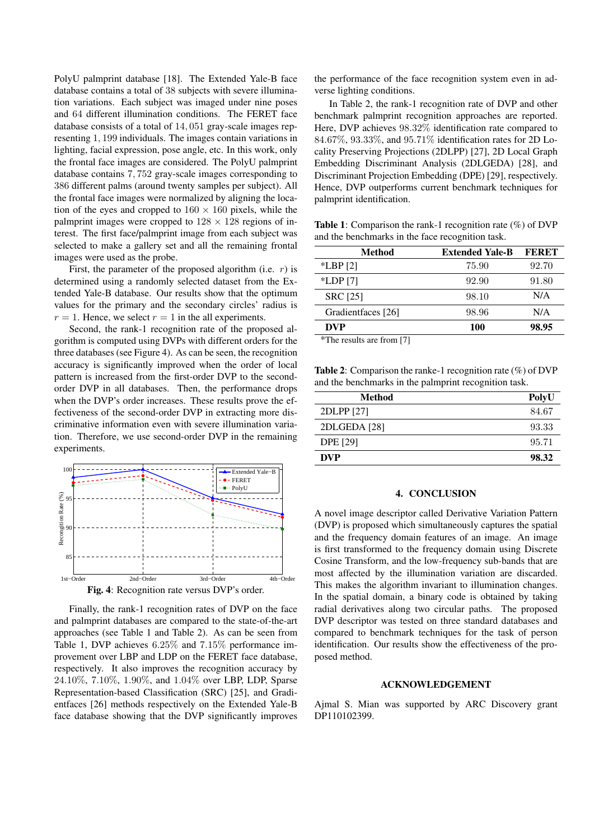PolyU palmprint database [18]. The Extended Yale-B face database contains a total of 38 subjects with severe illumination variations. Each subject was imaged under nine poses and 64 different illumination conditions. The FERET face database consists of a total of 14*,* 051 gray-scale images representing 1*,* 199 individuals. The images contain variations in lighting, facial expression, pose angle, etc. In this work, only the frontal face images are considered. The PolyU palmprint database contains 7*,* 752 gray-scale images corresponding to 386 different palms (around twenty samples per subject). All the frontal face images were normalized by aligning the location of the eyes and cropped to  $160 \times 160$  pixels, while the palmprint images were cropped to  $128 \times 128$  regions of interest. The first face/palmprint image from each subject was selected to make a gallery set and all the remaining frontal images were used as the probe.

First, the parameter of the proposed algorithm (i.e. *r*) is determined using a randomly selected dataset from the Extended Yale-B database. Our results show that the optimum values for the primary and the secondary circles' radius is  $r = 1$ . Hence, we select  $r = 1$  in the all experiments.

Second, the rank-1 recognition rate of the proposed algorithm is computed using DVPs with different orders for the three databases (see Figure 4). As can be seen, the recognition accuracy is significantly improved when the order of local pattern is increased from the first-order DVP to the secondorder DVP in all databases. Then, the performance drops when the DVP's order increases. These results prove the effectiveness of the second-order DVP in extracting more discriminative information even with severe illumination variation. Therefore, we use second-order DVP in the remaining experiments.



Finally, the rank-1 recognition rates of DVP on the face and palmprint databases are compared to the state-of-the-art approaches (see Table 1 and Table 2). As can be seen from Table 1, DVP achieves 6*.*25% and 7*.*15% performance improvement over LBP and LDP on the FERET face database, respectively. It also improves the recognition accuracy by 24*.*10%, 7*.*10%, 1*.*90%, and 1*.*04% over LBP, LDP, Sparse Representation-based Classification (SRC) [25], and Gradientfaces [26] methods respectively on the Extended Yale-B face database showing that the DVP significantly improves the performance of the face recognition system even in adverse lighting conditions.

In Table 2, the rank-1 recognition rate of DVP and other benchmark palmprint recognition approaches are reported. Here, DVP achieves 98*.*32% identification rate compared to 84*.*67%, 93*.*33%, and 95*.*71% identification rates for 2D Locality Preserving Projections (2DLPP) [27], 2D Local Graph Embedding Discriminant Analysis (2DLGEDA) [28], and Discriminant Projection Embedding (DPE) [29], respectively. Hence, DVP outperforms current benchmark techniques for palmprint identification.

Table 1: Comparison the rank-1 recognition rate (%) of DVP and the benchmarks in the face recognition task.

| <b>Method</b>      | <b>Extended Yale-B</b> | FERET |
|--------------------|------------------------|-------|
| $*LBP$ [2]         | 75.90                  | 92.70 |
| $*LDP[7]$          | 92.90                  | 91.80 |
| <b>SRC</b> [25]    | 98.10                  | N/A   |
| Gradientfaces [26] | 98.96                  | N/A   |
| <b>DVP</b>         | 100                    | 98.95 |
|                    |                        |       |

\*The results are from [7]

Table 2: Comparison the ranke-1 recognition rate (%) of DVP and the benchmarks in the palmprint recognition task.

| Method          | PolyU |
|-----------------|-------|
| 2DLPP [27]      | 84.67 |
| 2DLGEDA [28]    | 93.33 |
| <b>DPE</b> [29] | 95.71 |
| <b>DVP</b>      | 98.32 |

#### 4. CONCLUSION

A novel image descriptor called Derivative Variation Pattern (DVP) is proposed which simultaneously captures the spatial and the frequency domain features of an image. An image is first transformed to the frequency domain using Discrete Cosine Transform, and the low-frequency sub-bands that are most affected by the illumination variation are discarded. This makes the algorithm invariant to illumination changes. In the spatial domain, a binary code is obtained by taking radial derivatives along two circular paths. The proposed DVP descriptor was tested on three standard databases and compared to benchmark techniques for the task of person identification. Our results show the effectiveness of the proposed method.

#### ACKNOWLEDGEMENT

Ajmal S. Mian was supported by ARC Discovery grant DP110102399.